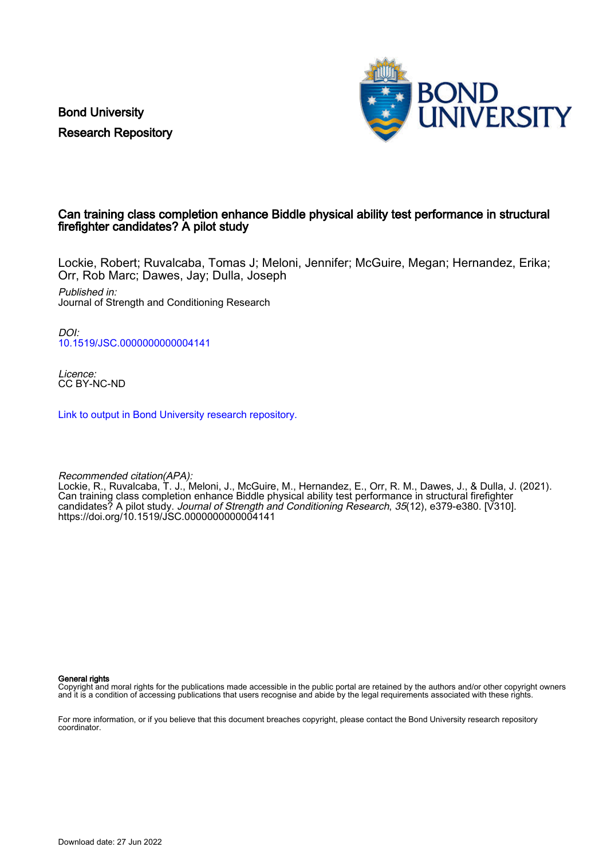Bond University Research Repository



#### Can training class completion enhance Biddle physical ability test performance in structural firefighter candidates? A pilot study

Lockie, Robert; Ruvalcaba, Tomas J; Meloni, Jennifer; McGuire, Megan; Hernandez, Erika; Orr, Rob Marc; Dawes, Jay; Dulla, Joseph

Published in: Journal of Strength and Conditioning Research

DOI: [10.1519/JSC.0000000000004141](https://doi.org/10.1519/JSC.0000000000004141)

Licence: CC BY-NC-ND

[Link to output in Bond University research repository.](https://research.bond.edu.au/en/publications/d2d27555-6d4c-4e76-8834-2c8897a70e0c)

Recommended citation(APA):

Lockie, R., Ruvalcaba, T. J., Meloni, J., McGuire, M., Hernandez, E., Orr, R. M., Dawes, J., & Dulla, J. (2021). Can training class completion enhance Biddle physical ability test performance in structural firefighter candidates? A pilot study. Journal of Strength and Conditioning Research, 35(12), e379-e380. [V310]. <https://doi.org/10.1519/JSC.0000000000004141>

General rights

Copyright and moral rights for the publications made accessible in the public portal are retained by the authors and/or other copyright owners and it is a condition of accessing publications that users recognise and abide by the legal requirements associated with these rights.

For more information, or if you believe that this document breaches copyright, please contact the Bond University research repository coordinator.